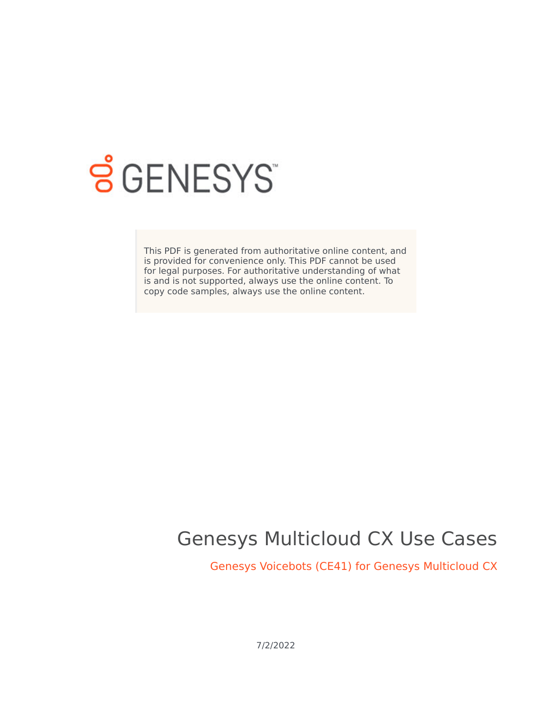

# **SGENESYS**

This PDF is generated from authoritative online content, and is provided for convenience only. This PDF cannot be used for legal purposes. For authoritative understanding of what is and is not supported, always use the online content. To copy code samples, always use the online content.

## Genesys Multicloud CX Use Cases

Genesys Voicebots (CE41) for Genesys Multicloud CX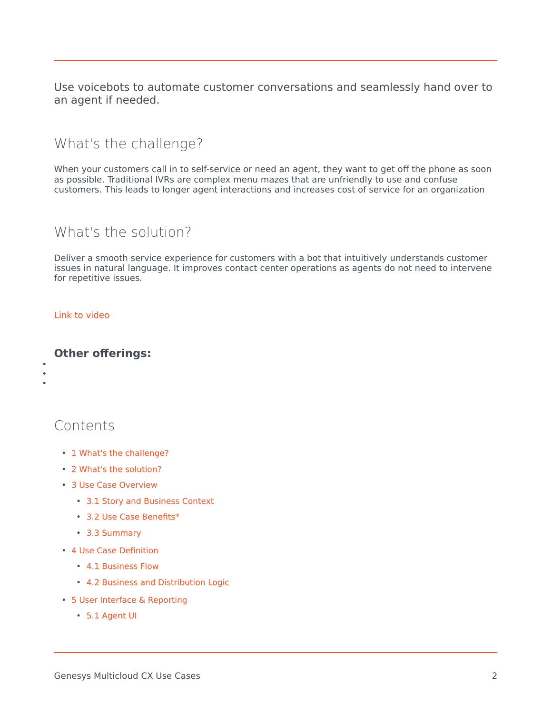Use voicebots to automate customer conversations and seamlessly hand over to an agent if needed.

## <span id="page-1-0"></span>What's the challenge?

When your customers call in to self-service or need an agent, they want to get off the phone as soon as possible. Traditional IVRs are complex menu mazes that are unfriendly to use and confuse customers. This leads to longer agent interactions and increases cost of service for an organization

## <span id="page-1-1"></span>What's the solution?

Deliver a smooth service experience for customers with a bot that intuitively understands customer issues in natural language. It improves contact center operations as agents do not need to intervene for repetitive issues.

#### [Link to video](https://player.vimeo.com/video/365027509?title=0&byline=0&portrait=0)

#### **Other offerings:**

• • •

## Contents

- 1 [What's the challenge?](#page-1-0)
- 2 [What's the solution?](#page-1-1)
- 3 [Use Case Overview](#page-3-0)
	- 3.1 [Story and Business Context](#page-3-1)
	- 3.2 [Use Case Benefits\\*](#page-3-2)
	- 3.3 [Summary](#page-4-0)
- 4 [Use Case Definition](#page-5-0)
	- 4.1 [Business Flow](#page-5-1)
	- 4.2 [Business and Distribution Logic](#page-7-0)
- 5 [User Interface & Reporting](#page-8-0) 
	- 5.1 [Agent UI](#page-8-1)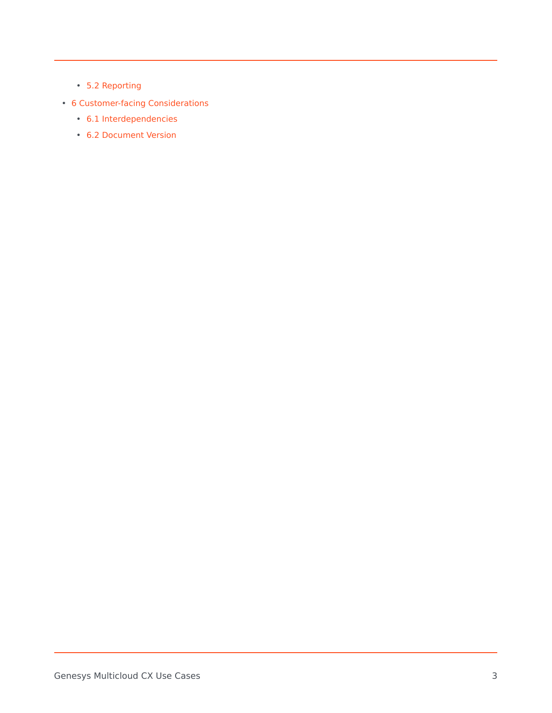- 5.2 [Reporting](#page-9-0)
- 6 [Customer-facing Considerations](#page-9-1)
	- 6.1 [Interdependencies](#page-9-2)
	- 6.2 [Document Version](#page-10-0)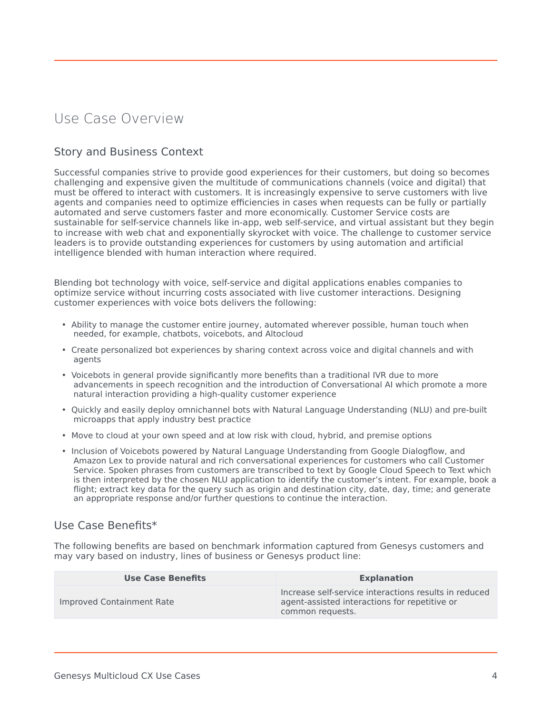## <span id="page-3-0"></span>Use Case Overview

#### <span id="page-3-1"></span>Story and Business Context

Successful companies strive to provide good experiences for their customers, but doing so becomes challenging and expensive given the multitude of communications channels (voice and digital) that must be offered to interact with customers. It is increasingly expensive to serve customers with live agents and companies need to optimize efficiencies in cases when requests can be fully or partially automated and serve customers faster and more economically. Customer Service costs are sustainable for self-service channels like in-app, web self-service, and virtual assistant but they begin to increase with web chat and exponentially skyrocket with voice. The challenge to customer service leaders is to provide outstanding experiences for customers by using automation and artificial intelligence blended with human interaction where required.

Blending bot technology with voice, self-service and digital applications enables companies to optimize service without incurring costs associated with live customer interactions. Designing customer experiences with voice bots delivers the following:

- Ability to manage the customer entire journey, automated wherever possible, human touch when needed, for example, chatbots, voicebots, and Altocloud
- Create personalized bot experiences by sharing context across voice and digital channels and with agents
- Voicebots in general provide significantly more benefits than a traditional IVR due to more advancements in speech recognition and the introduction of Conversational AI which promote a more natural interaction providing a high-quality customer experience
- Quickly and easily deploy omnichannel bots with Natural Language Understanding (NLU) and pre-built microapps that apply industry best practice
- Move to cloud at your own speed and at low risk with cloud, hybrid, and premise options
- Inclusion of Voicebots powered by Natural Language Understanding from Google Dialogflow, and Amazon Lex to provide natural and rich conversational experiences for customers who call Customer Service. Spoken phrases from customers are transcribed to text by Google Cloud Speech to Text which is then interpreted by the chosen NLU application to identify the customer's intent. For example, book a flight; extract key data for the query such as origin and destination city, date, day, time; and generate an appropriate response and/or further questions to continue the interaction.

#### <span id="page-3-2"></span>Use Case Benefits\*

The following benefits are based on benchmark information captured from Genesys customers and may vary based on industry, lines of business or Genesys product line:

| <b>Use Case Benefits</b>  | <b>Explanation</b>                                                                                                         |
|---------------------------|----------------------------------------------------------------------------------------------------------------------------|
| Improved Containment Rate | Increase self-service interactions results in reduced<br>agent-assisted interactions for repetitive or<br>common requests. |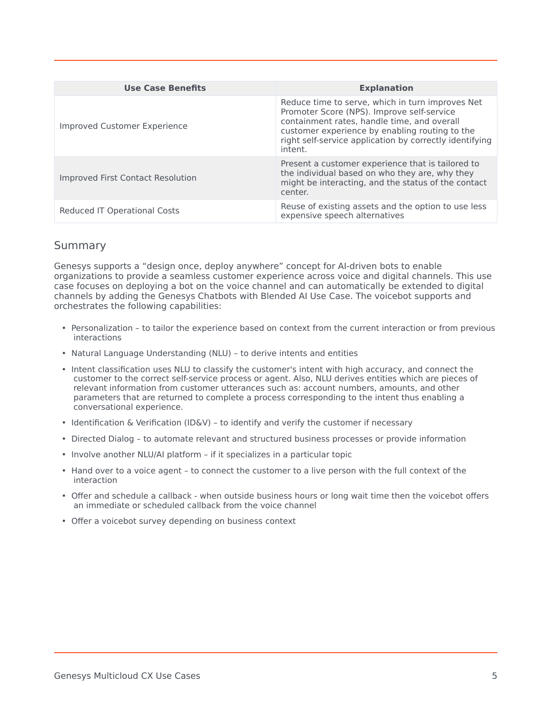| <b>Use Case Benefits</b>            | <b>Explanation</b>                                                                                                                                                                                                                                                    |
|-------------------------------------|-----------------------------------------------------------------------------------------------------------------------------------------------------------------------------------------------------------------------------------------------------------------------|
| <b>Improved Customer Experience</b> | Reduce time to serve, which in turn improves Net<br>Promoter Score (NPS). Improve self-service<br>containment rates, handle time, and overall<br>customer experience by enabling routing to the<br>right self-service application by correctly identifying<br>intent. |
| Improved First Contact Resolution   | Present a customer experience that is tailored to<br>the individual based on who they are, why they<br>might be interacting, and the status of the contact<br>center.                                                                                                 |
| Reduced IT Operational Costs        | Reuse of existing assets and the option to use less<br>expensive speech alternatives                                                                                                                                                                                  |

#### <span id="page-4-0"></span>Summary

Genesys supports a "design once, deploy anywhere" concept for AI-driven bots to enable organizations to provide a seamless customer experience across voice and digital channels. This use case focuses on deploying a bot on the voice channel and can automatically be extended to digital channels by adding the Genesys Chatbots with Blended AI Use Case. The voicebot supports and orchestrates the following capabilities:

- Personalization to tailor the experience based on context from the current interaction or from previous interactions
- Natural Language Understanding (NLU) to derive intents and entities
- Intent classification uses NLU to classify the customer's intent with high accuracy, and connect the customer to the correct self-service process or agent. Also, NLU derives entities which are pieces of relevant information from customer utterances such as: account numbers, amounts, and other parameters that are returned to complete a process corresponding to the intent thus enabling a conversational experience.
- Identification & Verification (ID&V) to identify and verify the customer if necessary
- Directed Dialog to automate relevant and structured business processes or provide information
- Involve another NLU/AI platform if it specializes in a particular topic
- Hand over to a voice agent to connect the customer to a live person with the full context of the interaction
- Offer and schedule a callback when outside business hours or long wait time then the voicebot offers an immediate or scheduled callback from the voice channel
- Offer a voicebot survey depending on business context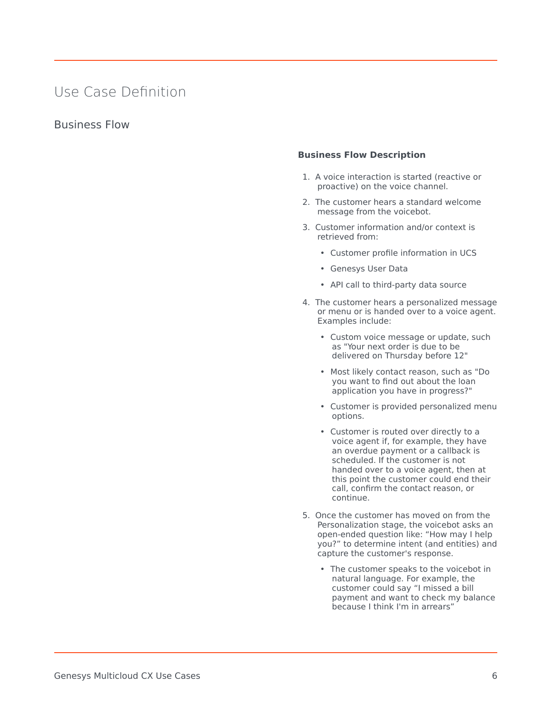## <span id="page-5-0"></span>Use Case Definition

#### <span id="page-5-1"></span>Business Flow

#### **Business Flow Description**

- 1. A voice interaction is started (reactive or proactive) on the voice channel.
- 2. The customer hears a standard welcome message from the voicebot.
- 3. Customer information and/or context is retrieved from:
	- Customer profile information in UCS
	- Genesys User Data
	- API call to third-party data source
- 4. The customer hears a personalized message or menu or is handed over to a voice agent. Examples include:
	- Custom voice message or update, such as "Your next order is due to be delivered on Thursday before 12"
	- Most likely contact reason, such as "Do you want to find out about the loan application you have in progress?"
	- Customer is provided personalized menu options.
	- Customer is routed over directly to a voice agent if, for example, they have an overdue payment or a callback is scheduled. If the customer is not handed over to a voice agent, then at this point the customer could end their call, confirm the contact reason, or continue.
- 5. Once the customer has moved on from the Personalization stage, the voicebot asks an open-ended question like: "How may I help you?" to determine intent (and entities) and capture the customer's response.
	- The customer speaks to the voicebot in natural language. For example, the customer could say "I missed a bill payment and want to check my balance because I think I'm in arrears"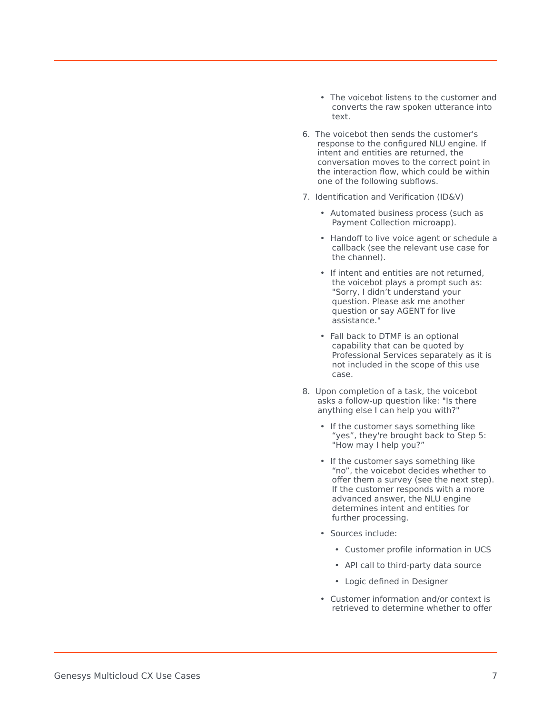- The voicebot listens to the customer and converts the raw spoken utterance into text.
- 6. The voicebot then sends the customer's response to the configured NLU engine. If intent and entities are returned, the conversation moves to the correct point in the interaction flow, which could be within one of the following subflows.
- 7. Identification and Verification (ID&V)
	- Automated business process (such as Payment Collection microapp).
	- Handoff to live voice agent or schedule a callback (see the relevant use case for the channel).
	- If intent and entities are not returned, the voicebot plays a prompt such as: "Sorry, I didn't understand your question. Please ask me another question or say AGENT for live assistance."
	- Fall back to DTMF is an optional capability that can be quoted by Professional Services separately as it is not included in the scope of this use case.
- 8. Upon completion of a task, the voicebot asks a follow-up question like: "Is there anything else I can help you with?"
	- If the customer says something like "yes", they're brought back to Step 5: "How may I help you?"
	- If the customer says something like "no", the voicebot decides whether to offer them a survey (see the next step). If the customer responds with a more advanced answer, the NLU engine determines intent and entities for further processing.
	- Sources include:
		- Customer profile information in UCS
		- API call to third-party data source
		- Logic defined in Designer
	- Customer information and/or context is retrieved to determine whether to offer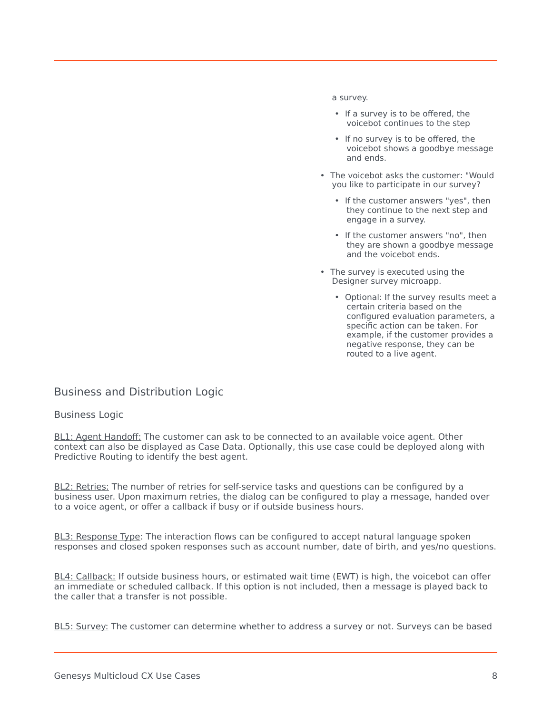#### a survey.

- If a survey is to be offered, the voicebot continues to the step
- If no survey is to be offered, the voicebot shows a goodbye message and ends.
- The voicebot asks the customer: "Would you like to participate in our survey?
	- If the customer answers "yes", then they continue to the next step and engage in a survey.
	- If the customer answers "no", then they are shown a goodbye message and the voicebot ends.
- The survey is executed using the Designer survey microapp.
	- Optional: If the survey results meet a certain criteria based on the configured evaluation parameters, a specific action can be taken. For example, if the customer provides a negative response, they can be routed to a live agent.

#### <span id="page-7-0"></span>Business and Distribution Logic

#### Business Logic

BL1: Agent Handoff: The customer can ask to be connected to an available voice agent. Other context can also be displayed as Case Data. Optionally, this use case could be deployed along with Predictive Routing to identify the best agent.

BL2: Retries: The number of retries for self-service tasks and questions can be configured by a business user. Upon maximum retries, the dialog can be configured to play a message, handed over to a voice agent, or offer a callback if busy or if outside business hours.

BL3: Response Type: The interaction flows can be configured to accept natural language spoken responses and closed spoken responses such as account number, date of birth, and yes/no questions.

BL4: Callback: If outside business hours, or estimated wait time (EWT) is high, the voicebot can offer an immediate or scheduled callback. If this option is not included, then a message is played back to the caller that a transfer is not possible.

BL5: Survey: The customer can determine whether to address a survey or not. Surveys can be based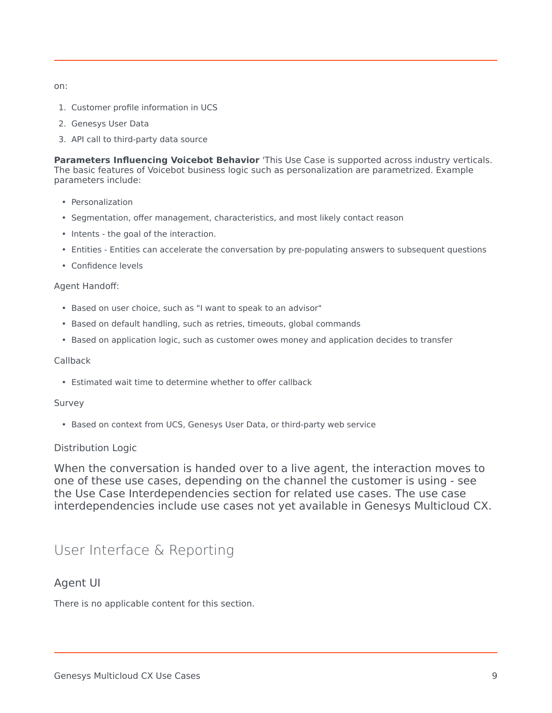on:

- 1. Customer profile information in UCS
- 2. Genesys User Data
- 3. API call to third-party data source

**Parameters Influencing Voicebot Behavior** 'This Use Case is supported across industry verticals. The basic features of Voicebot business logic such as personalization are parametrized. Example parameters include:

- Personalization
- Segmentation, offer management, characteristics, and most likely contact reason
- Intents the goal of the interaction.
- Entities Entities can accelerate the conversation by pre-populating answers to subsequent questions
- Confidence levels

#### Agent Handoff:

- Based on user choice, such as "I want to speak to an advisor"
- Based on default handling, such as retries, timeouts, global commands
- Based on application logic, such as customer owes money and application decides to transfer

#### Callback

• Estimated wait time to determine whether to offer callback

#### Survey

• Based on context from UCS, Genesys User Data, or third-party web service

#### Distribution Logic

When the conversation is handed over to a live agent, the interaction moves to one of these use cases, depending on the channel the customer is using - see the Use Case Interdependencies section for related use cases. The use case interdependencies include use cases not yet available in Genesys Multicloud CX.

## <span id="page-8-0"></span>User Interface & Reporting

#### <span id="page-8-1"></span>Agent UI

There is no applicable content for this section.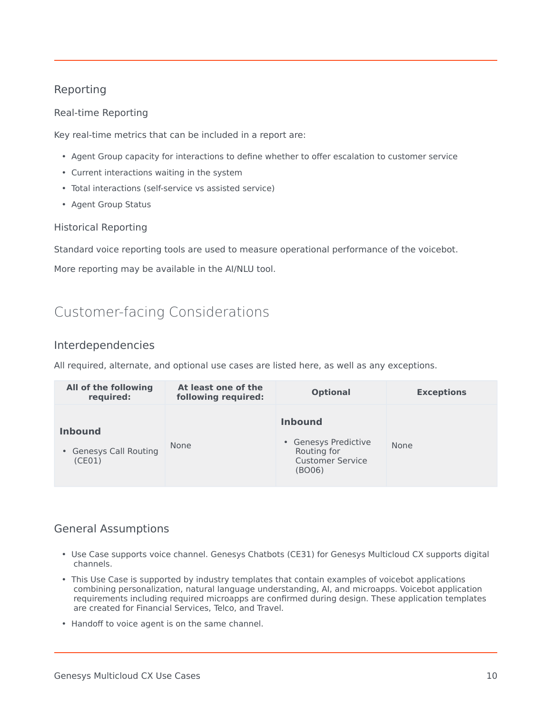#### <span id="page-9-0"></span>Reporting

#### Real-time Reporting

Key real-time metrics that can be included in a report are:

- Agent Group capacity for interactions to define whether to offer escalation to customer service
- Current interactions waiting in the system
- Total interactions (self-service vs assisted service)
- Agent Group Status

#### Historical Reporting

Standard voice reporting tools are used to measure operational performance of the voicebot.

More reporting may be available in the AI/NLU tool.

## <span id="page-9-1"></span>Customer-facing Considerations

#### <span id="page-9-2"></span>Interdependencies

All required, alternate, and optional use cases are listed here, as well as any exceptions.

| All of the following<br>required:                  | At least one of the<br>following required: | <b>Optional</b>                                                                            | <b>Exceptions</b> |
|----------------------------------------------------|--------------------------------------------|--------------------------------------------------------------------------------------------|-------------------|
| <b>Inbound</b><br>• Genesys Call Routing<br>(CE01) | <b>None</b>                                | <b>Inbound</b><br>• Genesys Predictive<br>Routing for<br><b>Customer Service</b><br>(BO06) | None              |

#### General Assumptions

- Use Case supports voice channel. Genesys Chatbots (CE31) for Genesys Multicloud CX supports digital channels.
- This Use Case is supported by industry templates that contain examples of voicebot applications combining personalization, natural language understanding, AI, and microapps. Voicebot application requirements including required microapps are confirmed during design. These application templates are created for Financial Services, Telco, and Travel.
- Handoff to voice agent is on the same channel.